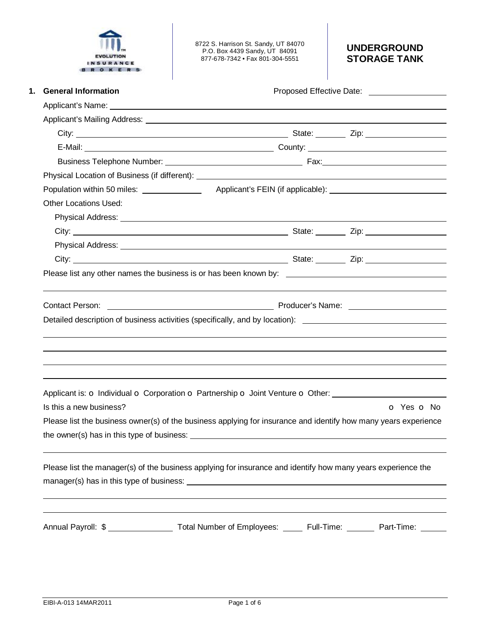

8722 S. Harrison St. Sandy, UT 84070 P.O. Box 4439 Sandy, UT 84091 877-678-7342 • Fax 801-304-5551

# **UNDERGROUND STORAGE TANK**

|                                                                                                                                                                                                                                                                                                                                                   | Proposed Effective Date: ____________________ |
|---------------------------------------------------------------------------------------------------------------------------------------------------------------------------------------------------------------------------------------------------------------------------------------------------------------------------------------------------|-----------------------------------------------|
|                                                                                                                                                                                                                                                                                                                                                   |                                               |
|                                                                                                                                                                                                                                                                                                                                                   |                                               |
|                                                                                                                                                                                                                                                                                                                                                   |                                               |
|                                                                                                                                                                                                                                                                                                                                                   |                                               |
|                                                                                                                                                                                                                                                                                                                                                   |                                               |
|                                                                                                                                                                                                                                                                                                                                                   |                                               |
|                                                                                                                                                                                                                                                                                                                                                   |                                               |
| <b>Other Locations Used:</b>                                                                                                                                                                                                                                                                                                                      |                                               |
|                                                                                                                                                                                                                                                                                                                                                   |                                               |
|                                                                                                                                                                                                                                                                                                                                                   |                                               |
|                                                                                                                                                                                                                                                                                                                                                   |                                               |
|                                                                                                                                                                                                                                                                                                                                                   |                                               |
| Please list any other names the business is or has been known by: __________________________________                                                                                                                                                                                                                                              |                                               |
|                                                                                                                                                                                                                                                                                                                                                   |                                               |
|                                                                                                                                                                                                                                                                                                                                                   |                                               |
| Applicant is: O Individual O Corporation O Partnership O Joint Venture O Other: ____________________                                                                                                                                                                                                                                              |                                               |
| Is this a new business?                                                                                                                                                                                                                                                                                                                           | o Yes o No                                    |
| Please list the business owner(s) of the business applying for insurance and identify how many years experience<br>the owner(s) has in this type of business: example and the owner of the owner of the state of the state of the state of the state of the state of the state of the state of the state of the state of the state of the state o |                                               |
| Please list the manager(s) of the business applying for insurance and identify how many years experience the                                                                                                                                                                                                                                      |                                               |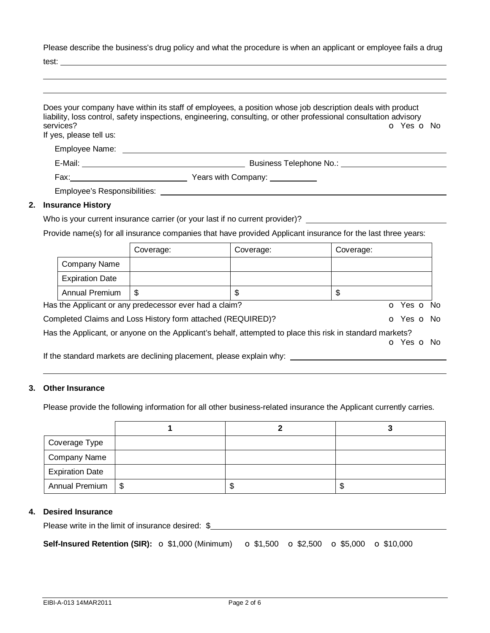Please describe the business's drug policy and what the procedure is when an applicant or employee fails a drug  $t \sim$ 

| services?<br>If yes, please tell us: | Does your company have within its staff of employees, a position whose job description deals with product<br>liability, loss control, safety inspections, engineering, consulting, or other professional consultation advisory<br>O Yes O No |
|--------------------------------------|----------------------------------------------------------------------------------------------------------------------------------------------------------------------------------------------------------------------------------------------|
|                                      |                                                                                                                                                                                                                                              |
|                                      |                                                                                                                                                                                                                                              |
|                                      |                                                                                                                                                                                                                                              |
|                                      |                                                                                                                                                                                                                                              |
| <b>Insurance History</b>             |                                                                                                                                                                                                                                              |

## **2. Insurance History**

Who is your current insurance carrier (or your last if no current provider)? \_\_\_\_\_\_\_\_\_\_

Provide name(s) for all insurance companies that have provided Applicant insurance for the last three years:

|                        | Coverage:                                                                                                 | Coverage: | Coverage:  |  |
|------------------------|-----------------------------------------------------------------------------------------------------------|-----------|------------|--|
| Company Name           |                                                                                                           |           |            |  |
| <b>Expiration Date</b> |                                                                                                           |           |            |  |
| Annual Premium         | S                                                                                                         | \$        | \$         |  |
|                        | Has the Applicant or any predecessor ever had a claim?                                                    |           | o Yes o No |  |
|                        | Completed Claims and Loss History form attached (REQUIRED)?                                               |           | O Yes O No |  |
|                        | Has the Applicant, or anyone on the Applicant's behalf, attempted to place this risk in standard markets? |           |            |  |
|                        |                                                                                                           |           | O Yes O No |  |
|                        | If the standard markets are declining placement, please explain why:                                      |           |            |  |

#### **3. Other Insurance**

Please provide the following information for all other business-related insurance the Applicant currently carries.

| Coverage Type          |    |    |
|------------------------|----|----|
| <b>Company Name</b>    |    |    |
| <b>Expiration Date</b> |    |    |
| Annual Premium   \$    | ъD | ۰D |

## **4. Desired Insurance**

Please write in the limit of insurance desired: \$

**Self-Insured Retention (SIR):**  $\sigma$  \$1,000 (Minimum)  $\sigma$  \$1,500  $\sigma$  \$2,500  $\sigma$  \$5,000  $\sigma$  \$10,000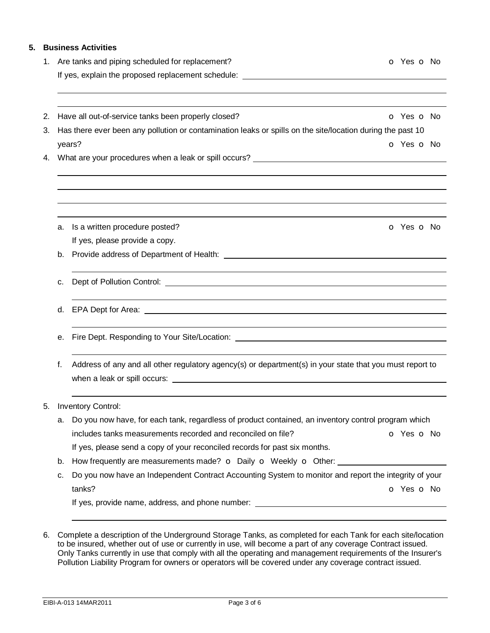# **5. Business Activities**

| Are tanks and piping scheduled for replacement?<br>O Yes O No<br>1.                                                                      |                                                                                                                                                                                                                                                                                                                                                                                          |                          |  |  |
|------------------------------------------------------------------------------------------------------------------------------------------|------------------------------------------------------------------------------------------------------------------------------------------------------------------------------------------------------------------------------------------------------------------------------------------------------------------------------------------------------------------------------------------|--------------------------|--|--|
|                                                                                                                                          |                                                                                                                                                                                                                                                                                                                                                                                          |                          |  |  |
|                                                                                                                                          |                                                                                                                                                                                                                                                                                                                                                                                          |                          |  |  |
| 2.                                                                                                                                       | Have all out-of-service tanks been properly closed?                                                                                                                                                                                                                                                                                                                                      | <b>o</b> Yes <b>o</b> No |  |  |
| Has there ever been any pollution or contamination leaks or spills on the site/location during the past 10<br>3.<br>o Yes o No<br>years? |                                                                                                                                                                                                                                                                                                                                                                                          |                          |  |  |
|                                                                                                                                          |                                                                                                                                                                                                                                                                                                                                                                                          |                          |  |  |
|                                                                                                                                          |                                                                                                                                                                                                                                                                                                                                                                                          |                          |  |  |
| а.                                                                                                                                       | Is a written procedure posted?                                                                                                                                                                                                                                                                                                                                                           | O Yes O No               |  |  |
|                                                                                                                                          | If yes, please provide a copy.                                                                                                                                                                                                                                                                                                                                                           |                          |  |  |
| b.                                                                                                                                       |                                                                                                                                                                                                                                                                                                                                                                                          |                          |  |  |
| c.                                                                                                                                       |                                                                                                                                                                                                                                                                                                                                                                                          |                          |  |  |
|                                                                                                                                          |                                                                                                                                                                                                                                                                                                                                                                                          |                          |  |  |
| е.                                                                                                                                       | Fire Dept. Responding to Your Site/Location: <u>[1984]</u> [1986] The Dept. Responding to Your Site/Location: [1986] The Contract of the Contract of The Contract of The Contract of The Contract of The Contract of The Contract o                                                                                                                                                      |                          |  |  |
| f.                                                                                                                                       | Address of any and all other regulatory agency(s) or department(s) in your state that you must report to<br>when a leak or spill occurs: $\sqrt{2}$ and $\sqrt{2}$ and $\sqrt{2}$ and $\sqrt{2}$ and $\sqrt{2}$ and $\sqrt{2}$ and $\sqrt{2}$ and $\sqrt{2}$ and $\sqrt{2}$ and $\sqrt{2}$ and $\sqrt{2}$ and $\sqrt{2}$ and $\sqrt{2}$ and $\sqrt{2}$ and $\sqrt{2}$ and $\sqrt{2}$ and |                          |  |  |
|                                                                                                                                          | <b>Inventory Control:</b>                                                                                                                                                                                                                                                                                                                                                                |                          |  |  |
| а.                                                                                                                                       | Do you now have, for each tank, regardless of product contained, an inventory control program which                                                                                                                                                                                                                                                                                      |                          |  |  |
|                                                                                                                                          | includes tanks measurements recorded and reconciled on file?                                                                                                                                                                                                                                                                                                                             | o Yes o No               |  |  |
|                                                                                                                                          | If yes, please send a copy of your reconciled records for past six months.                                                                                                                                                                                                                                                                                                               |                          |  |  |
| b.                                                                                                                                       | How frequently are measurements made? o Daily o Weekly o Other:                                                                                                                                                                                                                                                                                                                          |                          |  |  |
| c.                                                                                                                                       | Do you now have an Independent Contract Accounting System to monitor and report the integrity of your                                                                                                                                                                                                                                                                                    |                          |  |  |
|                                                                                                                                          | tanks?                                                                                                                                                                                                                                                                                                                                                                                   | o Yes o No               |  |  |
|                                                                                                                                          |                                                                                                                                                                                                                                                                                                                                                                                          |                          |  |  |

6. Complete a description of the Underground Storage Tanks, as completed for each Tank for each site/location to be insured, whether out of use or currently in use, will become a part of any coverage Contract issued. Only Tanks currently in use that comply with all the operating and management requirements of the Insurer's Pollution Liability Program for owners or operators will be covered under any coverage contract issued.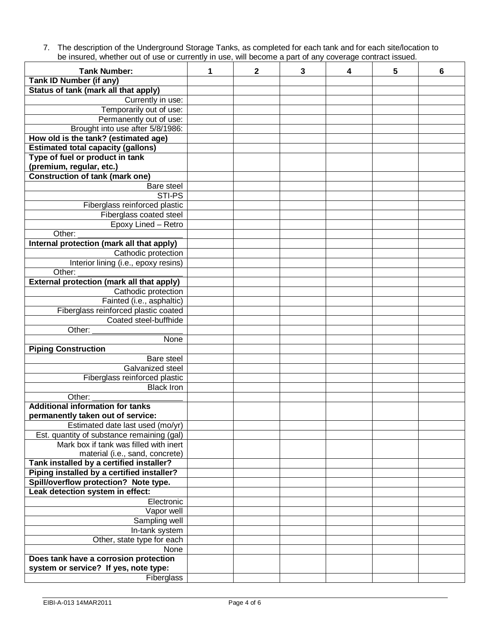7. The description of the Underground Storage Tanks, as completed for each tank and for each site/location to be insured, whether out of use or currently in use, will become a part of any coverage contract issued.

| <b>Tank Number:</b>                              | 1 | $\mathbf{2}$ | 3 | 4 | 5 | 6 |
|--------------------------------------------------|---|--------------|---|---|---|---|
| <b>Tank ID Number (if any)</b>                   |   |              |   |   |   |   |
| Status of tank (mark all that apply)             |   |              |   |   |   |   |
| Currently in use:                                |   |              |   |   |   |   |
| Temporarily out of use:                          |   |              |   |   |   |   |
| Permanently out of use:                          |   |              |   |   |   |   |
| Brought into use after 5/8/1986:                 |   |              |   |   |   |   |
| How old is the tank? (estimated age)             |   |              |   |   |   |   |
| <b>Estimated total capacity (gallons)</b>        |   |              |   |   |   |   |
| Type of fuel or product in tank                  |   |              |   |   |   |   |
| (premium, regular, etc.)                         |   |              |   |   |   |   |
| <b>Construction of tank (mark one)</b>           |   |              |   |   |   |   |
| Bare steel                                       |   |              |   |   |   |   |
| STI-PS                                           |   |              |   |   |   |   |
| Fiberglass reinforced plastic                    |   |              |   |   |   |   |
| Fiberglass coated steel                          |   |              |   |   |   |   |
| Epoxy Lined - Retro                              |   |              |   |   |   |   |
| Other:                                           |   |              |   |   |   |   |
| Internal protection (mark all that apply)        |   |              |   |   |   |   |
| Cathodic protection                              |   |              |   |   |   |   |
| Interior lining (i.e., epoxy resins)             |   |              |   |   |   |   |
| Other:                                           |   |              |   |   |   |   |
| <b>External protection (mark all that apply)</b> |   |              |   |   |   |   |
| Cathodic protection                              |   |              |   |   |   |   |
| Fainted (i.e., asphaltic)                        |   |              |   |   |   |   |
| Fiberglass reinforced plastic coated             |   |              |   |   |   |   |
| Coated steel-buffhide                            |   |              |   |   |   |   |
| Other:                                           |   |              |   |   |   |   |
| None                                             |   |              |   |   |   |   |
| <b>Piping Construction</b>                       |   |              |   |   |   |   |
| Bare steel                                       |   |              |   |   |   |   |
| Galvanized steel                                 |   |              |   |   |   |   |
| Fiberglass reinforced plastic                    |   |              |   |   |   |   |
| <b>Black Iron</b>                                |   |              |   |   |   |   |
| Other:                                           |   |              |   |   |   |   |
| <b>Additional information for tanks</b>          |   |              |   |   |   |   |
| permanently taken out of service:                |   |              |   |   |   |   |
| Estimated date last used (mo/yr)                 |   |              |   |   |   |   |
| Est. quantity of substance remaining (gal)       |   |              |   |   |   |   |
| Mark box if tank was filled with inert           |   |              |   |   |   |   |
| material (i.e., sand, concrete)                  |   |              |   |   |   |   |
| Tank installed by a certified installer?         |   |              |   |   |   |   |
| Piping installed by a certified installer?       |   |              |   |   |   |   |
| Spill/overflow protection? Note type.            |   |              |   |   |   |   |
| Leak detection system in effect:                 |   |              |   |   |   |   |
| Electronic                                       |   |              |   |   |   |   |
| Vapor well                                       |   |              |   |   |   |   |
| Sampling well                                    |   |              |   |   |   |   |
| In-tank system                                   |   |              |   |   |   |   |
| Other, state type for each                       |   |              |   |   |   |   |
| None                                             |   |              |   |   |   |   |
| Does tank have a corrosion protection            |   |              |   |   |   |   |
| system or service? If yes, note type:            |   |              |   |   |   |   |
| Fiberglass                                       |   |              |   |   |   |   |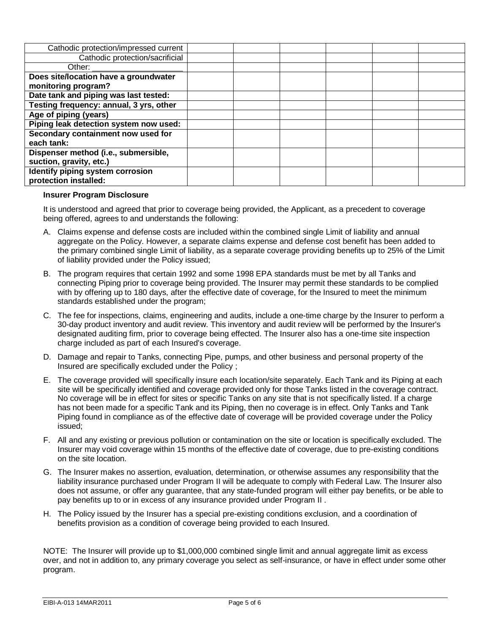| Cathodic protection/impressed current   |  |  |  |
|-----------------------------------------|--|--|--|
| Cathodic protection/sacrificial         |  |  |  |
| Other:                                  |  |  |  |
| Does site/location have a groundwater   |  |  |  |
| monitoring program?                     |  |  |  |
| Date tank and piping was last tested:   |  |  |  |
| Testing frequency: annual, 3 yrs, other |  |  |  |
| Age of piping (years)                   |  |  |  |
| Piping leak detection system now used:  |  |  |  |
| Secondary containment now used for      |  |  |  |
| each tank:                              |  |  |  |
| Dispenser method (i.e., submersible,    |  |  |  |
| suction, gravity, etc.)                 |  |  |  |
| Identify piping system corrosion        |  |  |  |
| protection installed:                   |  |  |  |

#### **Insurer Program Disclosure**

It is understood and agreed that prior to coverage being provided, the Applicant, as a precedent to coverage being offered, agrees to and understands the following:

- A. Claims expense and defense costs are included within the combined single Limit of liability and annual aggregate on the Policy. However, a separate claims expense and defense cost benefit has been added to the primary combined single Limit of liability, as a separate coverage providing benefits up to 25% of the Limit of liability provided under the Policy issued;
- B. The program requires that certain 1992 and some 1998 EPA standards must be met by all Tanks and connecting Piping prior to coverage being provided. The Insurer may permit these standards to be complied with by offering up to 180 days, after the effective date of coverage, for the Insured to meet the minimum standards established under the program;
- C. The fee for inspections, claims, engineering and audits, include a one-time charge by the Insurer to perform a 30-day product inventory and audit review. This inventory and audit review will be performed by the Insurer's designated auditing firm, prior to coverage being effected. The Insurer also has a one-time site inspection charge included as part of each Insured's coverage.
- D. Damage and repair to Tanks, connecting Pipe, pumps, and other business and personal property of the Insured are specifically excluded under the Policy ;
- E. The coverage provided will specifically insure each location/site separately. Each Tank and its Piping at each site will be specifically identified and coverage provided only for those Tanks listed in the coverage contract. No coverage will be in effect for sites or specific Tanks on any site that is not specifically listed. If a charge has not been made for a specific Tank and its Piping, then no coverage is in effect. Only Tanks and Tank Piping found in compliance as of the effective date of coverage will be provided coverage under the Policy issued;
- F. All and any existing or previous pollution or contamination on the site or location is specifically excluded. The Insurer may void coverage within 15 months of the effective date of coverage, due to pre-existing conditions on the site location.
- G. The Insurer makes no assertion, evaluation, determination, or otherwise assumes any responsibility that the liability insurance purchased under Program II will be adequate to comply with Federal Law. The Insurer also does not assume, or offer any guarantee, that any state-funded program will either pay benefits, or be able to pay benefits up to or in excess of any insurance provided under Program II .
- H. The Policy issued by the Insurer has a special pre-existing conditions exclusion, and a coordination of benefits provision as a condition of coverage being provided to each Insured.

NOTE: The Insurer will provide up to \$1,000,000 combined single limit and annual aggregate limit as excess over, and not in addition to, any primary coverage you select as self-insurance, or have in effect under some other program.